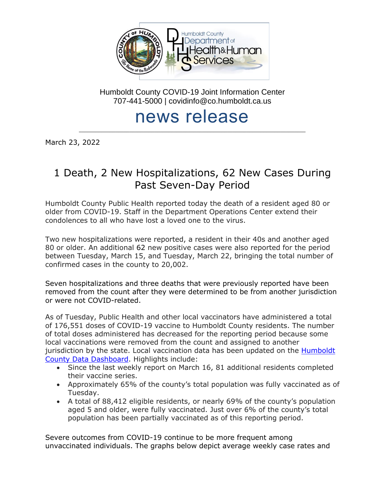

Humboldt County COVID-19 Joint Information Center 707-441-5000 | covidinfo@co.humboldt.ca.us

# news release

\_\_\_\_\_\_\_\_\_\_\_\_\_\_\_\_\_\_\_\_\_\_\_\_\_\_\_\_\_\_\_\_\_\_\_\_\_\_\_\_\_\_\_\_\_\_\_\_\_\_\_\_\_\_\_\_\_\_\_\_\_\_\_\_\_\_\_\_\_\_\_\_\_\_\_\_\_\_\_\_\_

March 23, 2022

## 1 Death, 2 New Hospitalizations, 62 New Cases During Past Seven-Day Period

Humboldt County Public Health reported today the death of a resident aged 80 or older from COVID-19. Staff in the Department Operations Center extend their condolences to all who have lost a loved one to the virus.

Two new hospitalizations were reported, a resident in their 40s and another aged 80 or older. An additional 62 new positive cases were also reported for the period between Tuesday, March 15, and Tuesday, March 22, bringing the total number of confirmed cases in the county to 20,002.

Seven hospitalizations and three deaths that were previously reported have been removed from the count after they were determined to be from another jurisdiction or were not COVID-related.

As of Tuesday, Public Health and other local vaccinators have administered a total of 176,551 doses of COVID-19 vaccine to Humboldt County residents. The number of total doses administered has decreased for the reporting period because some local vaccinations were removed from the count and assigned to another jurisdiction by the state. Local vaccination data has been updated on the [Humboldt](https://docs.google.com/spreadsheets/d/e/2PACX-1vRumJLxZ2OIN9TBV14uUbtdhxLDxddnDh0J3ASGUHMYvoS_dyal8OW2xOkbspt_hx3gj2tM5ByyVfTK/pubhtml?gid=2002140219&single=true)  [County Data Dashboard.](https://docs.google.com/spreadsheets/d/e/2PACX-1vRumJLxZ2OIN9TBV14uUbtdhxLDxddnDh0J3ASGUHMYvoS_dyal8OW2xOkbspt_hx3gj2tM5ByyVfTK/pubhtml?gid=2002140219&single=true) Highlights include:

- Since the last weekly report on March 16, 81 additional residents completed their vaccine series.
- Approximately 65% of the county's total population was fully vaccinated as of Tuesday.
- A total of 88,412 eligible residents, or nearly 69% of the county's population aged 5 and older, were fully vaccinated. Just over 6% of the county's total population has been partially vaccinated as of this reporting period.

Severe outcomes from COVID-19 continue to be more frequent among unvaccinated individuals. The graphs below depict average weekly case rates and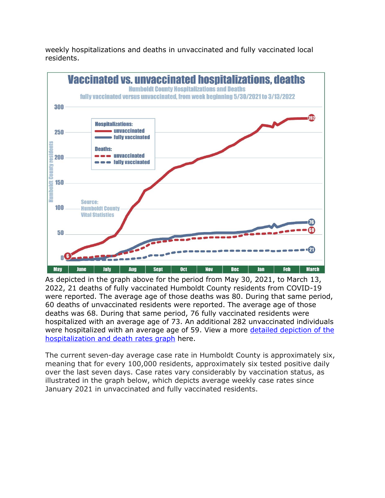weekly hospitalizations and deaths in unvaccinated and fully vaccinated local residents.



As depicted in the graph above for the period from May 30, 2021, to March 13, 2022, 21 deaths of fully vaccinated Humboldt County residents from COVID-19 were reported. The average age of those deaths was 80. During that same period, 60 deaths of unvaccinated residents were reported. The average age of those deaths was 68. During that same period, 76 fully vaccinated residents were hospitalized with an average age of 73. An additional 282 unvaccinated individuals were hospitalized with an average age of 59. View a more [detailed depiction of the](https://humboldtgov.org/DocumentCenter/View/105816/Hospitalization-MortalityRatesByVaccinationStatus_WeeklyAvg---20220323-PDF)  [hospitalization and death rates graph](https://humboldtgov.org/DocumentCenter/View/105816/Hospitalization-MortalityRatesByVaccinationStatus_WeeklyAvg---20220323-PDF) here.

The current seven-day average case rate in Humboldt County is approximately six, meaning that for every 100,000 residents, approximately six tested positive daily over the last seven days. Case rates vary considerably by vaccination status, as illustrated in the graph below, which depicts average weekly case rates since January 2021 in unvaccinated and fully vaccinated residents.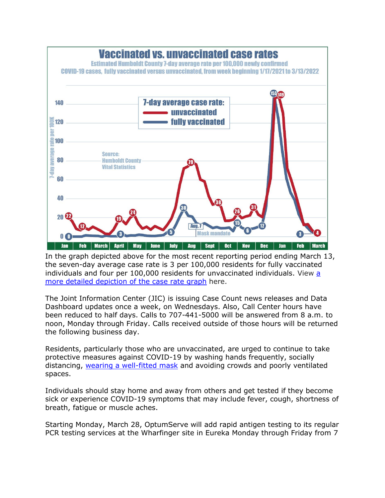

In the graph depicted above for the most recent reporting period ending March 13, the seven-day average case rate is 3 per 100,000 residents for fully vaccinated individuals and four per  $100,000$  residents for unvaccinated individuals. View  $a$ [more detailed depiction of the case](https://humboldtgov.org/DocumentCenter/View/105817/COVIDrates_InfoGraphic_20220323-PDF) rate graph here.

The Joint Information Center (JIC) is issuing Case Count news releases and Data Dashboard updates once a week, on Wednesdays. Also, Call Center hours have been reduced to half days. Calls to 707-441-5000 will be answered from 8 a.m. to noon, Monday through Friday. Calls received outside of those hours will be returned the following business day.

Residents, particularly those who are unvaccinated, are urged to continue to take protective measures against COVID-19 by washing hands frequently, socially distancing, [wearing a well-fitted mask](https://www.cdc.gov/coronavirus/2019-ncov/prevent-getting-sick/types-of-masks.html) and avoiding crowds and poorly ventilated spaces.

Individuals should stay home and away from others and get tested if they become sick or experience COVID-19 symptoms that may include fever, cough, shortness of breath, fatigue or muscle aches.

Starting Monday, March 28, OptumServe will add rapid antigen testing to its regular PCR testing services at the Wharfinger site in Eureka Monday through Friday from 7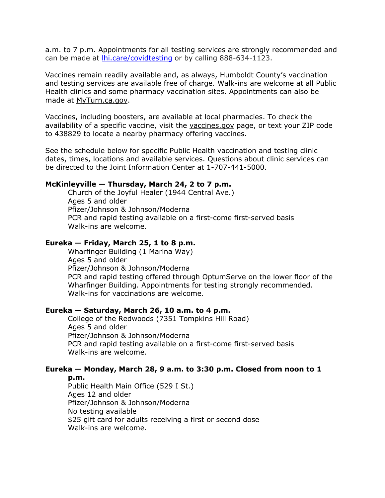a.m. to 7 p.m. Appointments for all testing services are strongly recommended and can be made at *lhi.care/covidtesting* or by calling 888-634-1123.

Vaccines remain readily available and, as always, Humboldt County's vaccination and testing services are available free of charge. Walk-ins are welcome at all Public Health clinics and some pharmacy vaccination sites. Appointments can also be made at [MyTurn.ca.gov.](https://myturn.ca.gov/)

Vaccines, including boosters, are available at local pharmacies. To check the availability of a specific vaccine, visit the [vaccines.gov](https://www.vaccines.gov/search/) page, or text your ZIP code to 438829 to locate a nearby pharmacy offering vaccines.

See the schedule below for specific Public Health vaccination and testing clinic dates, times, locations and available services. Questions about clinic services can be directed to the Joint Information Center at 1-707-441-5000.

#### **McKinleyville — Thursday, March 24, 2 to 7 p.m.**

Church of the Joyful Healer (1944 Central Ave.) Ages 5 and older Pfizer/Johnson & Johnson/Moderna PCR and rapid testing available on a first-come first-served basis Walk-ins are welcome.

#### **Eureka — Friday, March 25, 1 to 8 p.m.**

Wharfinger Building (1 Marina Way) Ages 5 and older Pfizer/Johnson & Johnson/Moderna PCR and rapid testing offered through OptumServe on the lower floor of the Wharfinger Building. Appointments for testing strongly recommended. Walk-ins for vaccinations are welcome.

#### **Eureka — Saturday, March 26, 10 a.m. to 4 p.m.**

College of the Redwoods (7351 Tompkins Hill Road) Ages 5 and older Pfizer/Johnson & Johnson/Moderna PCR and rapid testing available on a first-come first-served basis Walk-ins are welcome.

### **Eureka — Monday, March 28, 9 a.m. to 3:30 p.m. Closed from noon to 1**

**p.m.**

Public Health Main Office (529 I St.) Ages 12 and older Pfizer/Johnson & Johnson/Moderna No testing available \$25 gift card for adults receiving a first or second dose Walk-ins are welcome.